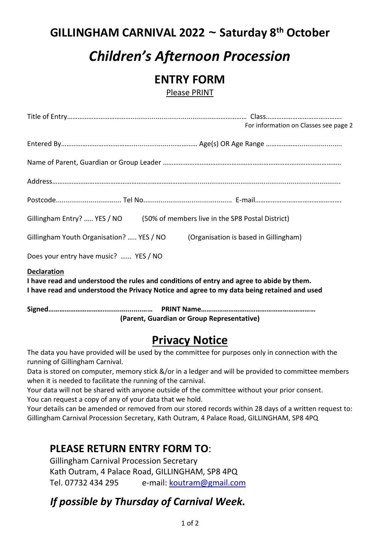## **GILLINGHAM CARNIVAL 2022 ~ Saturday 8 th October**

# *Children's Afternoon Procession*

## **ENTRY FORM**

Please PRINT

|                                                                                                                                                                                                              | For information on Classes see page 2 |  |
|--------------------------------------------------------------------------------------------------------------------------------------------------------------------------------------------------------------|---------------------------------------|--|
|                                                                                                                                                                                                              |                                       |  |
|                                                                                                                                                                                                              |                                       |  |
|                                                                                                                                                                                                              |                                       |  |
|                                                                                                                                                                                                              |                                       |  |
| Gillingham Entry?  YES / NO (50% of members live in the SP8 Postal District)                                                                                                                                 |                                       |  |
| Gillingham Youth Organisation?  YES / NO<br>(Organisation is based in Gillingham)                                                                                                                            |                                       |  |
| Does your entry have music?  YES / NO                                                                                                                                                                        |                                       |  |
| <b>Declaration</b><br>I have read and understood the rules and conditions of entry and agree to abide by them.<br>I have read and understood the Privacy Notice and agree to my data being retained and used |                                       |  |
| (Parent, Guardian or Group Representative)                                                                                                                                                                   |                                       |  |

## **Privacy Notice**

The data you have provided will be used by the committee for purposes only in connection with the running of Gillingham Carnival.

Data is stored on computer, memory stick &/or in a ledger and will be provided to committee members when it is needed to facilitate the running of the carnival.

Your data will not be shared with anyone outside of the committee without your prior consent. You can request a copy of any of your data that we hold.

Your details can be amended or removed from our stored records within 28 days of a written request to: Gillingham Carnival Procession Secretary, Kath Outram, 4 Palace Road, GILLINGHAM, SP8 4PQ

## **PLEASE RETURN ENTRY FORM TO**:

Gillingham Carnival Procession Secretary Kath Outram, 4 Palace Road, GILLINGHAM, SP8 4PQ Tel. 07732 434 295 e-mail: koutram@gmail.com

## *If possible by Thursday of Carnival Week.*